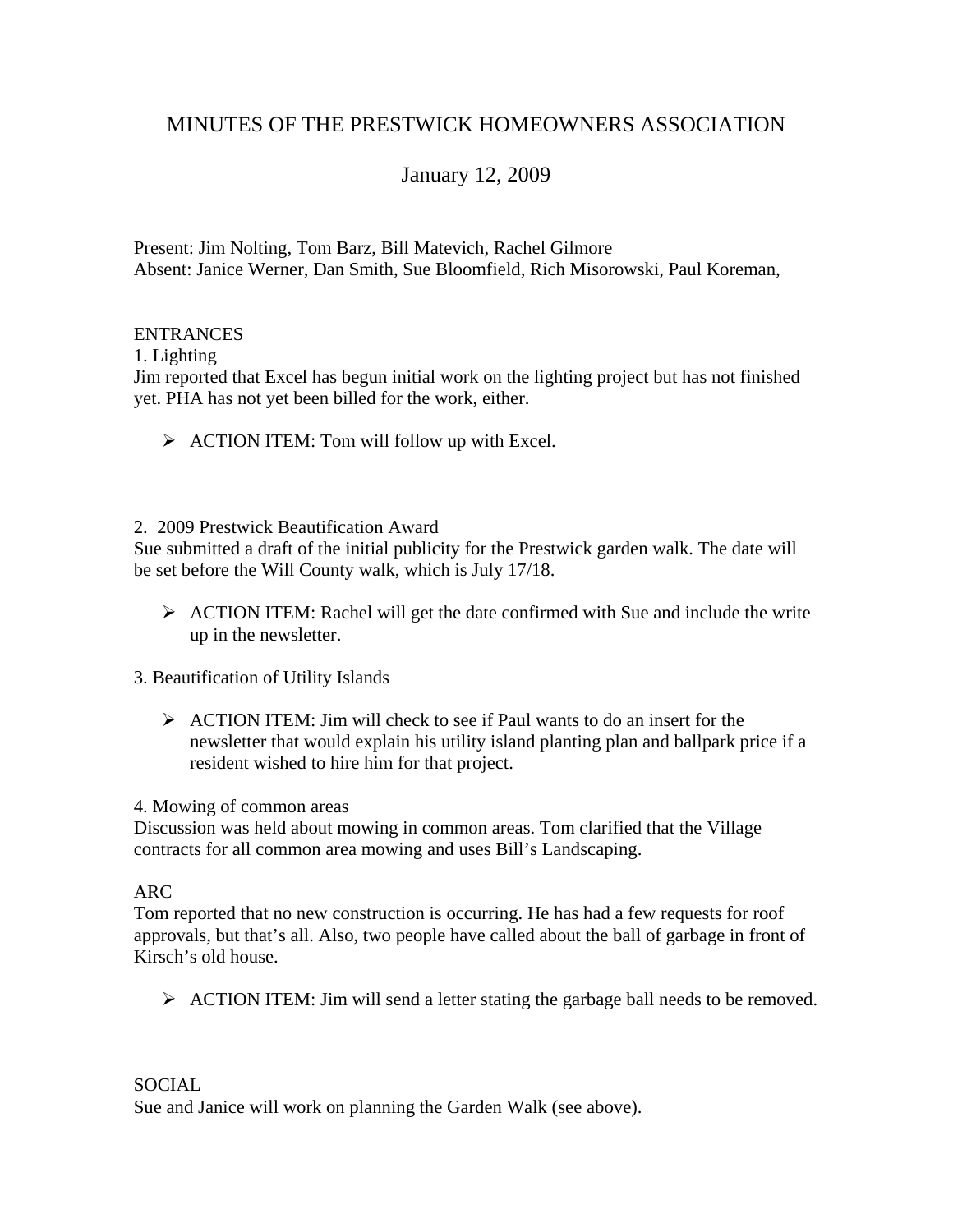# MINUTES OF THE PRESTWICK HOMEOWNERS ASSOCIATION

# January 12, 2009

Present: Jim Nolting, Tom Barz, Bill Matevich, Rachel Gilmore Absent: Janice Werner, Dan Smith, Sue Bloomfield, Rich Misorowski, Paul Koreman,

## ENTRANCES

1. Lighting

Jim reported that Excel has begun initial work on the lighting project but has not finished yet. PHA has not yet been billed for the work, either.

- $\triangleright$  ACTION ITEM: Tom will follow up with Excel.
- 2. 2009 Prestwick Beautification Award

Sue submitted a draft of the initial publicity for the Prestwick garden walk. The date will be set before the Will County walk, which is July 17/18.

- $\triangleright$  ACTION ITEM: Rachel will get the date confirmed with Sue and include the write up in the newsletter.
- 3. Beautification of Utility Islands
	- $\triangleright$  ACTION ITEM: Jim will check to see if Paul wants to do an insert for the newsletter that would explain his utility island planting plan and ballpark price if a resident wished to hire him for that project.

## 4. Mowing of common areas

Discussion was held about mowing in common areas. Tom clarified that the Village contracts for all common area mowing and uses Bill's Landscaping.

## ARC

Tom reported that no new construction is occurring. He has had a few requests for roof approvals, but that's all. Also, two people have called about the ball of garbage in front of Kirsch's old house.

¾ ACTION ITEM: Jim will send a letter stating the garbage ball needs to be removed.

## SOCIAL

Sue and Janice will work on planning the Garden Walk (see above).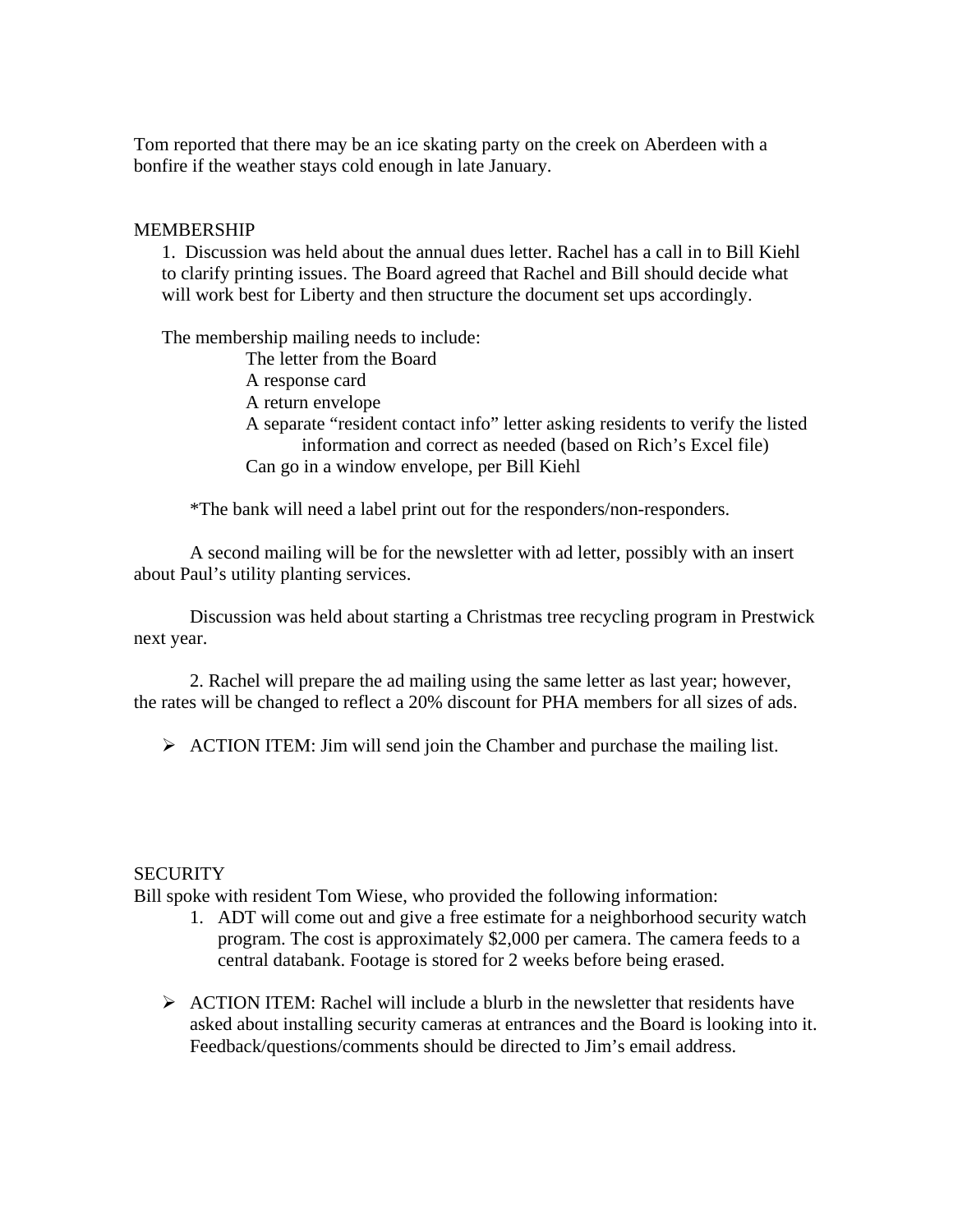Tom reported that there may be an ice skating party on the creek on Aberdeen with a bonfire if the weather stays cold enough in late January.

## MEMBERSHIP

1. Discussion was held about the annual dues letter. Rachel has a call in to Bill Kiehl to clarify printing issues. The Board agreed that Rachel and Bill should decide what will work best for Liberty and then structure the document set ups accordingly.

The membership mailing needs to include: The letter from the Board A response card A return envelope A separate "resident contact info" letter asking residents to verify the listed information and correct as needed (based on Rich's Excel file) Can go in a window envelope, per Bill Kiehl

\*The bank will need a label print out for the responders/non-responders.

 A second mailing will be for the newsletter with ad letter, possibly with an insert about Paul's utility planting services.

 Discussion was held about starting a Christmas tree recycling program in Prestwick next year.

 2. Rachel will prepare the ad mailing using the same letter as last year; however, the rates will be changed to reflect a 20% discount for PHA members for all sizes of ads.

 $\triangleright$  ACTION ITEM: Jim will send join the Chamber and purchase the mailing list.

## **SECURITY**

Bill spoke with resident Tom Wiese, who provided the following information:

- 1. ADT will come out and give a free estimate for a neighborhood security watch program. The cost is approximately \$2,000 per camera. The camera feeds to a central databank. Footage is stored for 2 weeks before being erased.
- $\triangleright$  ACTION ITEM: Rachel will include a blurb in the newsletter that residents have asked about installing security cameras at entrances and the Board is looking into it. Feedback/questions/comments should be directed to Jim's email address.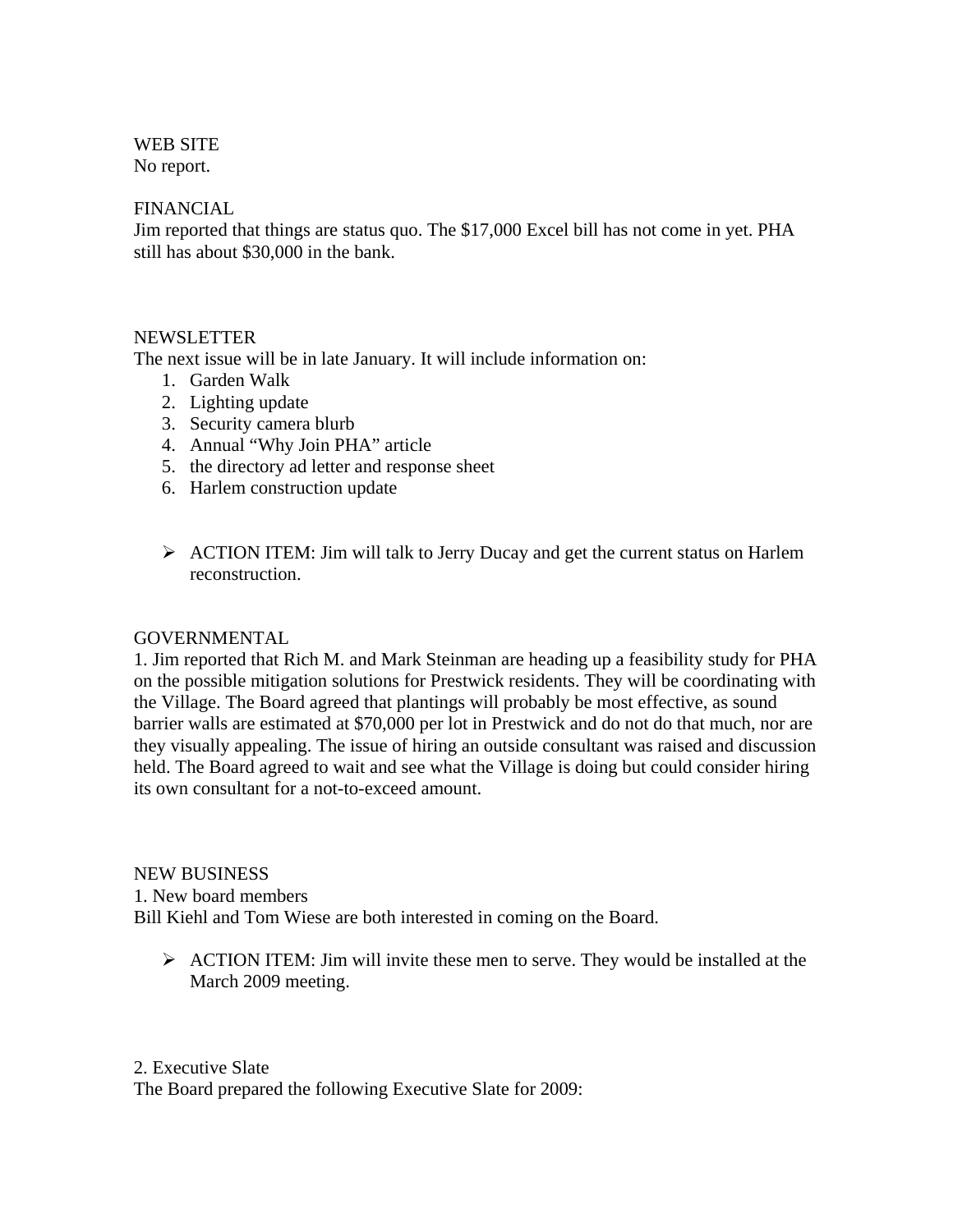## WEB SITE

No report.

## FINANCIAL

Jim reported that things are status quo. The \$17,000 Excel bill has not come in yet. PHA still has about \$30,000 in the bank.

## NEWSLETTER

The next issue will be in late January. It will include information on:

- 1. Garden Walk
- 2. Lighting update
- 3. Security camera blurb
- 4. Annual "Why Join PHA" article
- 5. the directory ad letter and response sheet
- 6. Harlem construction update
- ¾ ACTION ITEM: Jim will talk to Jerry Ducay and get the current status on Harlem reconstruction.

## GOVERNMENTAL

1. Jim reported that Rich M. and Mark Steinman are heading up a feasibility study for PHA on the possible mitigation solutions for Prestwick residents. They will be coordinating with the Village. The Board agreed that plantings will probably be most effective, as sound barrier walls are estimated at \$70,000 per lot in Prestwick and do not do that much, nor are they visually appealing. The issue of hiring an outside consultant was raised and discussion held. The Board agreed to wait and see what the Village is doing but could consider hiring its own consultant for a not-to-exceed amount.

NEW BUSINESS 1. New board members Bill Kiehl and Tom Wiese are both interested in coming on the Board.

 $\triangleright$  ACTION ITEM: Jim will invite these men to serve. They would be installed at the March 2009 meeting.

2. Executive Slate The Board prepared the following Executive Slate for 2009: